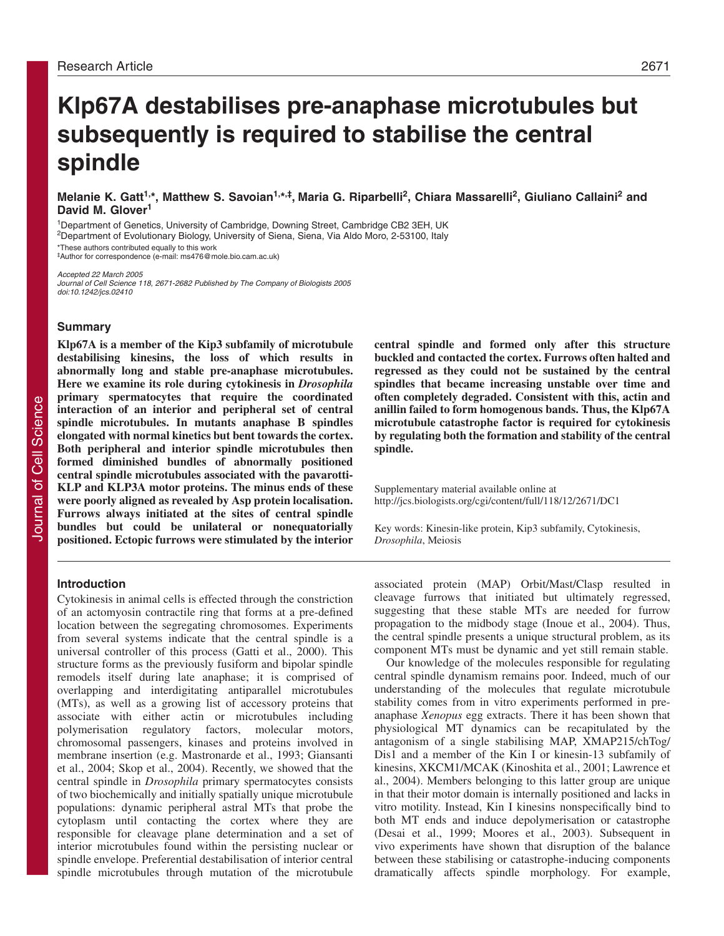# **Klp67A destabilises pre-anaphase microtubules but subsequently is required to stabilise the central spindle**

# **Melanie K. Gatt1,\*, Matthew S. Savoian1,\*,‡, Maria G. Riparbelli2, Chiara Massarelli2, Giuliano Callaini2 and David M. Glover<sup>1</sup>**

<sup>1</sup>Department of Genetics, University of Cambridge, Downing Street, Cambridge CB2 3EH, UK

2Department of Evolutionary Biology, University of Siena, Siena, Via Aldo Moro, 2-53100, Italy

\*These authors contributed equally to this work

‡Author for correspondence (e-mail: ms476@mole.bio.cam.ac.uk)

Accepted 22 March 2005 Journal of Cell Science 118, 2671-2682 Published by The Company of Biologists 2005 doi:10.1242/jcs.02410

### **Summary**

**Klp67A is a member of the Kip3 subfamily of microtubule destabilising kinesins, the loss of which results in abnormally long and stable pre-anaphase microtubules. Here we examine its role during cytokinesis in** *Drosophila* **primary spermatocytes that require the coordinated interaction of an interior and peripheral set of central spindle microtubules. In mutants anaphase B spindles elongated with normal kinetics but bent towards the cortex. Both peripheral and interior spindle microtubules then formed diminished bundles of abnormally positioned central spindle microtubules associated with the pavarotti-KLP and KLP3A motor proteins. The minus ends of these were poorly aligned as revealed by Asp protein localisation. Furrows always initiated at the sites of central spindle bundles but could be unilateral or nonequatorially positioned. Ectopic furrows were stimulated by the interior**

# **Introduction**

Cytokinesis in animal cells is effected through the constriction of an actomyosin contractile ring that forms at a pre-defined location between the segregating chromosomes. Experiments from several systems indicate that the central spindle is a universal controller of this process (Gatti et al., 2000). This structure forms as the previously fusiform and bipolar spindle remodels itself during late anaphase; it is comprised of overlapping and interdigitating antiparallel microtubules (MTs), as well as a growing list of accessory proteins that associate with either actin or microtubules including polymerisation regulatory factors, molecular motors, chromosomal passengers, kinases and proteins involved in membrane insertion (e.g. Mastronarde et al., 1993; Giansanti et al., 2004; Skop et al., 2004). Recently, we showed that the central spindle in *Drosophila* primary spermatocytes consists of two biochemically and initially spatially unique microtubule populations: dynamic peripheral astral MTs that probe the cytoplasm until contacting the cortex where they are responsible for cleavage plane determination and a set of interior microtubules found within the persisting nuclear or spindle envelope. Preferential destabilisation of interior central spindle microtubules through mutation of the microtubule

**central spindle and formed only after this structure buckled and contacted the cortex. Furrows often halted and regressed as they could not be sustained by the central spindles that became increasing unstable over time and often completely degraded. Consistent with this, actin and anillin failed to form homogenous bands. Thus, the Klp67A microtubule catastrophe factor is required for cytokinesis by regulating both the formation and stability of the central spindle.**

Supplementary material available online at http://jcs.biologists.org/cgi/content/full/118/12/2671/DC1

Key words: Kinesin-like protein, Kip3 subfamily, Cytokinesis, *Drosophila*, Meiosis

associated protein (MAP) Orbit/Mast/Clasp resulted in cleavage furrows that initiated but ultimately regressed, suggesting that these stable MTs are needed for furrow propagation to the midbody stage (Inoue et al., 2004). Thus, the central spindle presents a unique structural problem, as its component MTs must be dynamic and yet still remain stable.

Our knowledge of the molecules responsible for regulating central spindle dynamism remains poor. Indeed, much of our understanding of the molecules that regulate microtubule stability comes from in vitro experiments performed in preanaphase *Xenopus* egg extracts. There it has been shown that physiological MT dynamics can be recapitulated by the antagonism of a single stabilising MAP, XMAP215/chTog/ Dis1 and a member of the Kin I or kinesin-13 subfamily of kinesins, XKCM1/MCAK (Kinoshita et al., 2001; Lawrence et al., 2004). Members belonging to this latter group are unique in that their motor domain is internally positioned and lacks in vitro motility. Instead, Kin I kinesins nonspecifically bind to both MT ends and induce depolymerisation or catastrophe (Desai et al., 1999; Moores et al., 2003). Subsequent in vivo experiments have shown that disruption of the balance between these stabilising or catastrophe-inducing components dramatically affects spindle morphology. For example,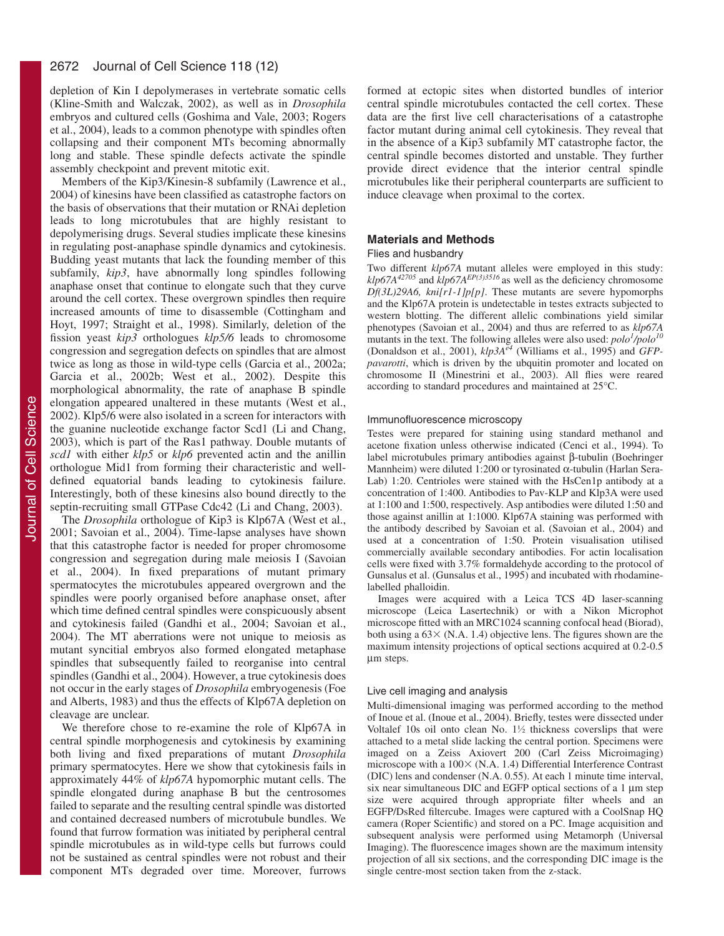depletion of Kin I depolymerases in vertebrate somatic cells (Kline-Smith and Walczak, 2002), as well as in *Drosophila* embryos and cultured cells (Goshima and Vale, 2003; Rogers et al., 2004), leads to a common phenotype with spindles often collapsing and their component MTs becoming abnormally long and stable. These spindle defects activate the spindle assembly checkpoint and prevent mitotic exit.

Members of the Kip3/Kinesin-8 subfamily (Lawrence et al., 2004) of kinesins have been classified as catastrophe factors on the basis of observations that their mutation or RNAi depletion leads to long microtubules that are highly resistant to depolymerising drugs. Several studies implicate these kinesins in regulating post-anaphase spindle dynamics and cytokinesis. Budding yeast mutants that lack the founding member of this subfamily, *kip3*, have abnormally long spindles following anaphase onset that continue to elongate such that they curve around the cell cortex. These overgrown spindles then require increased amounts of time to disassemble (Cottingham and Hoyt, 1997; Straight et al., 1998). Similarly, deletion of the fission yeast *kip3* orthologues *klp5/6* leads to chromosome congression and segregation defects on spindles that are almost twice as long as those in wild-type cells (Garcia et al., 2002a; Garcia et al., 2002b; West et al., 2002). Despite this morphological abnormality, the rate of anaphase B spindle elongation appeared unaltered in these mutants (West et al., 2002). Klp5/6 were also isolated in a screen for interactors with the guanine nucleotide exchange factor Scd1 (Li and Chang, 2003), which is part of the Ras1 pathway. Double mutants of *scd1* with either *klp5* or *klp6* prevented actin and the anillin orthologue Mid1 from forming their characteristic and welldefined equatorial bands leading to cytokinesis failure. Interestingly, both of these kinesins also bound directly to the septin-recruiting small GTPase Cdc42 (Li and Chang, 2003).

The *Drosophila* orthologue of Kip3 is Klp67A (West et al., 2001; Savoian et al., 2004). Time-lapse analyses have shown that this catastrophe factor is needed for proper chromosome congression and segregation during male meiosis I (Savoian et al., 2004). In fixed preparations of mutant primary spermatocytes the microtubules appeared overgrown and the spindles were poorly organised before anaphase onset, after which time defined central spindles were conspicuously absent and cytokinesis failed (Gandhi et al., 2004; Savoian et al., 2004). The MT aberrations were not unique to meiosis as mutant syncitial embryos also formed elongated metaphase spindles that subsequently failed to reorganise into central spindles (Gandhi et al., 2004). However, a true cytokinesis does not occur in the early stages of *Drosophila* embryogenesis (Foe and Alberts, 1983) and thus the effects of Klp67A depletion on cleavage are unclear.

We therefore chose to re-examine the role of Klp67A in central spindle morphogenesis and cytokinesis by examining both living and fixed preparations of mutant *Drosophila* primary spermatocytes. Here we show that cytokinesis fails in approximately 44% of *klp67A* hypomorphic mutant cells. The spindle elongated during anaphase B but the centrosomes failed to separate and the resulting central spindle was distorted and contained decreased numbers of microtubule bundles. We found that furrow formation was initiated by peripheral central spindle microtubules as in wild-type cells but furrows could not be sustained as central spindles were not robust and their component MTs degraded over time. Moreover, furrows formed at ectopic sites when distorted bundles of interior central spindle microtubules contacted the cell cortex. These data are the first live cell characterisations of a catastrophe factor mutant during animal cell cytokinesis. They reveal that in the absence of a Kip3 subfamily MT catastrophe factor, the central spindle becomes distorted and unstable. They further provide direct evidence that the interior central spindle microtubules like their peripheral counterparts are sufficient to induce cleavage when proximal to the cortex.

### **Materials and Methods**

### Flies and husbandry

Two different *klp67A* mutant alleles were employed in this study: *klp67A<sup>42705</sup>* and *klp67AEP(3)3516* as well as the deficiency chromosome *Df(3L)29A6, kni[r1-1]p[p]*. These mutants are severe hypomorphs and the Klp67A protein is undetectable in testes extracts subjected to western blotting. The different allelic combinations yield similar phenotypes (Savoian et al., 2004) and thus are referred to as *klp67A* mutants in the text. The following alleles were also used:  $polo<sup>1</sup>/polo<sup>10</sup>$ (Donaldson et al., 2001), *klp3Ae4* (Williams et al., 1995) and *GFPpavarotti*, which is driven by the ubquitin promoter and located on chromosome II (Minestrini et al., 2003). All flies were reared according to standard procedures and maintained at 25°C.

### Immunofluorescence microscopy

Testes were prepared for staining using standard methanol and acetone fixation unless otherwise indicated (Cenci et al., 1994). To label microtubules primary antibodies against β-tubulin (Boehringer Mannheim) were diluted 1:200 or tyrosinated α-tubulin (Harlan Sera-Lab) 1:20. Centrioles were stained with the HsCen1p antibody at a concentration of 1:400. Antibodies to Pav-KLP and Klp3A were used at 1:100 and 1:500, respectively. Asp antibodies were diluted 1:50 and those against anillin at 1:1000. Klp67A staining was performed with the antibody described by Savoian et al. (Savoian et al., 2004) and used at a concentration of 1:50. Protein visualisation utilised commercially available secondary antibodies. For actin localisation cells were fixed with 3.7% formaldehyde according to the protocol of Gunsalus et al. (Gunsalus et al., 1995) and incubated with rhodaminelabelled phalloidin.

Images were acquired with a Leica TCS 4D laser-scanning microscope (Leica Lasertechnik) or with a Nikon Microphot microscope fitted with an MRC1024 scanning confocal head (Biorad), both using a  $63 \times (N.A. 1.4)$  objective lens. The figures shown are the maximum intensity projections of optical sections acquired at 0.2-0.5 µm steps.

### Live cell imaging and analysis

Multi-dimensional imaging was performed according to the method of Inoue et al. (Inoue et al., 2004). Briefly, testes were dissected under Voltalef 10s oil onto clean No.  $1\frac{1}{2}$  thickness coverslips that were attached to a metal slide lacking the central portion. Specimens were imaged on a Zeiss Axiovert 200 (Carl Zeiss Microimaging) microscope with a  $100 \times (N.A. 1.4)$  Differential Interference Contrast (DIC) lens and condenser (N.A. 0.55). At each 1 minute time interval, six near simultaneous DIC and EGFP optical sections of a 1  $\mu$ m step size were acquired through appropriate filter wheels and an EGFP/DsRed filtercube. Images were captured with a CoolSnap HQ camera (Roper Scientific) and stored on a PC. Image acquisition and subsequent analysis were performed using Metamorph (Universal Imaging). The fluorescence images shown are the maximum intensity projection of all six sections, and the corresponding DIC image is the single centre-most section taken from the z-stack.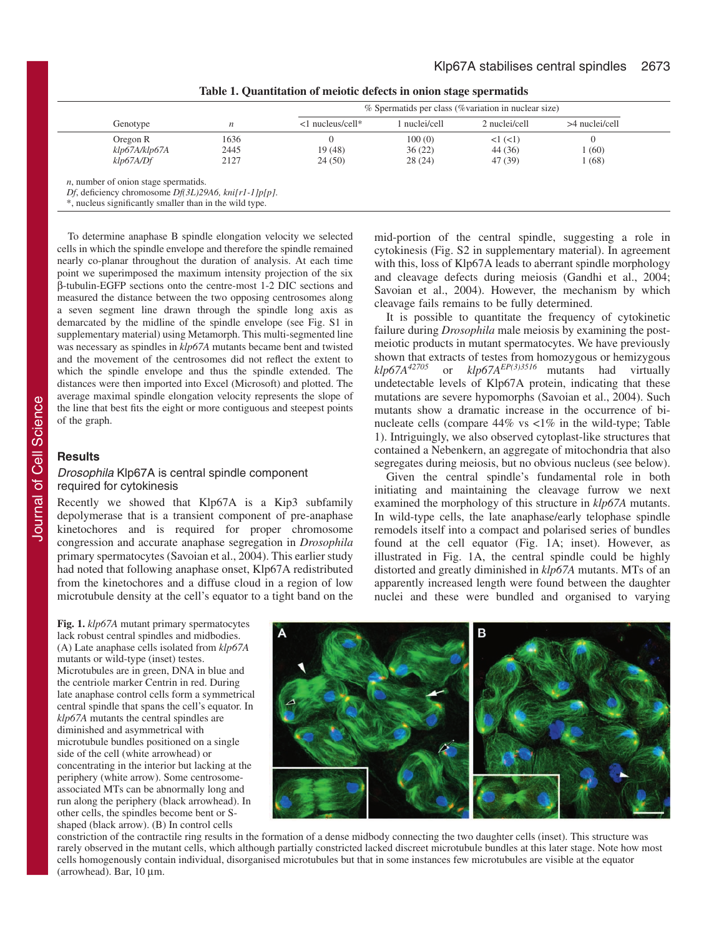mid-portion of the central spindle, suggesting a role in cytokinesis (Fig. S2 in supplementary material). In agreement with this, loss of Klp67A leads to aberrant spindle morphology and cleavage defects during meiosis (Gandhi et al., 2004; Savoian et al., 2004). However, the mechanism by which

It is possible to quantitate the frequency of cytokinetic failure during *Drosophila* male meiosis by examining the postmeiotic products in mutant spermatocytes. We have previously shown that extracts of testes from homozygous or hemizygous  $klp67A^{42705}$  or  $klp67A^{EP(3)3516}$  mutants had virtually

undetectable levels of Klp67A protein, indicating that these mutations are severe hypomorphs (Savoian et al., 2004). Such mutants show a dramatic increase in the occurrence of binucleate cells (compare  $44\%$  vs  $\lt 1\%$  in the wild-type; Table 1). Intriguingly, we also observed cytoplast-like structures that contained a Nebenkern, an aggregate of mitochondria that also segregates during meiosis, but no obvious nucleus (see below). Given the central spindle's fundamental role in both initiating and maintaining the cleavage furrow we next examined the morphology of this structure in *klp67A* mutants. In wild-type cells, the late anaphase/early telophase spindle remodels itself into a compact and polarised series of bundles found at the cell equator (Fig. 1A; inset). However, as illustrated in Fig. 1A, the central spindle could be highly distorted and greatly diminished in *klp67A* mutants. MTs of an apparently increased length were found between the daughter nuclei and these were bundled and organised to varying

or  $klp67A<sup>EP(3)3516</sup>$  mutants had virtually

cleavage fails remains to be fully determined.

|                                                                                                                                                                   |      | % Spermatids per class (% variation in nuclear size) |             |               |                  |  |
|-------------------------------------------------------------------------------------------------------------------------------------------------------------------|------|------------------------------------------------------|-------------|---------------|------------------|--|
| Genotype                                                                                                                                                          | n    | $\leq$ 1 nucleus/cell*                               | nuclei/cell | 2 nuclei/cell | $>4$ nuclei/cell |  |
| Oregon R                                                                                                                                                          | 1636 |                                                      | 100(0)      | $1 <$ $(<$ 1) |                  |  |
| klp67A/klp67A                                                                                                                                                     | 2445 | 19(48)                                               | 36(22)      | 44 (36)       | 1(60)            |  |
| klp67A/Df                                                                                                                                                         | 2127 | 24(50)                                               | 28 (24)     | 47 (39)       | 1 (68)           |  |
| $n$ , number of onion stage spermatids.<br>Df, deficiency chromosome $Df(3L)29A6$ , kni $[r1-1]p[p]$ .<br>*, nucleus significantly smaller than in the wild type. |      |                                                      |             |               |                  |  |

**Table 1. Quantitation of meiotic defects in onion stage spermatids**

To determine anaphase B spindle elongation velocity we selected cells in which the spindle envelope and therefore the spindle remained nearly co-planar throughout the duration of analysis. At each time point we superimposed the maximum intensity projection of the six β-tubulin-EGFP sections onto the centre-most 1-2 DIC sections and measured the distance between the two opposing centrosomes along a seven segment line drawn through the spindle long axis as demarcated by the midline of the spindle envelope (see Fig. S1 in supplementary material) using Metamorph. This multi-segmented line was necessary as spindles in *klp67A* mutants became bent and twisted and the movement of the centrosomes did not reflect the extent to which the spindle envelope and thus the spindle extended. The distances were then imported into Excel (Microsoft) and plotted. The average maximal spindle elongation velocity represents the slope of the line that best fits the eight or more contiguous and steepest points of the graph.

# **Results**

### Drosophila Klp67A is central spindle component required for cytokinesis

Recently we showed that Klp67A is a Kip3 subfamily depolymerase that is a transient component of pre-anaphase kinetochores and is required for proper chromosome congression and accurate anaphase segregation in *Drosophila* primary spermatocytes (Savoian et al., 2004). This earlier study had noted that following anaphase onset, Klp67A redistributed from the kinetochores and a diffuse cloud in a region of low microtubule density at the cell's equator to a tight band on the

**Fig. 1.** *klp67A* mutant primary spermatocytes lack robust central spindles and midbodies. (A) Late anaphase cells isolated from *klp67A* mutants or wild-type (inset) testes. Microtubules are in green, DNA in blue and the centriole marker Centrin in red. During late anaphase control cells form a symmetrical central spindle that spans the cell's equator. In *klp67A* mutants the central spindles are diminished and asymmetrical with microtubule bundles positioned on a single side of the cell (white arrowhead) or concentrating in the interior but lacking at the periphery (white arrow). Some centrosomeassociated MTs can be abnormally long and run along the periphery (black arrowhead). In other cells, the spindles become bent or Sshaped (black arrow). (B) In control cells

P

constriction of the contractile ring results in the formation of a dense midbody connecting the two daughter cells (inset). This structure was rarely observed in the mutant cells, which although partially constricted lacked discreet microtubule bundles at this later stage. Note how most cells homogenously contain individual, disorganised microtubules but that in some instances few microtubules are visible at the equator (arrowhead). Bar,  $10 \mu m$ .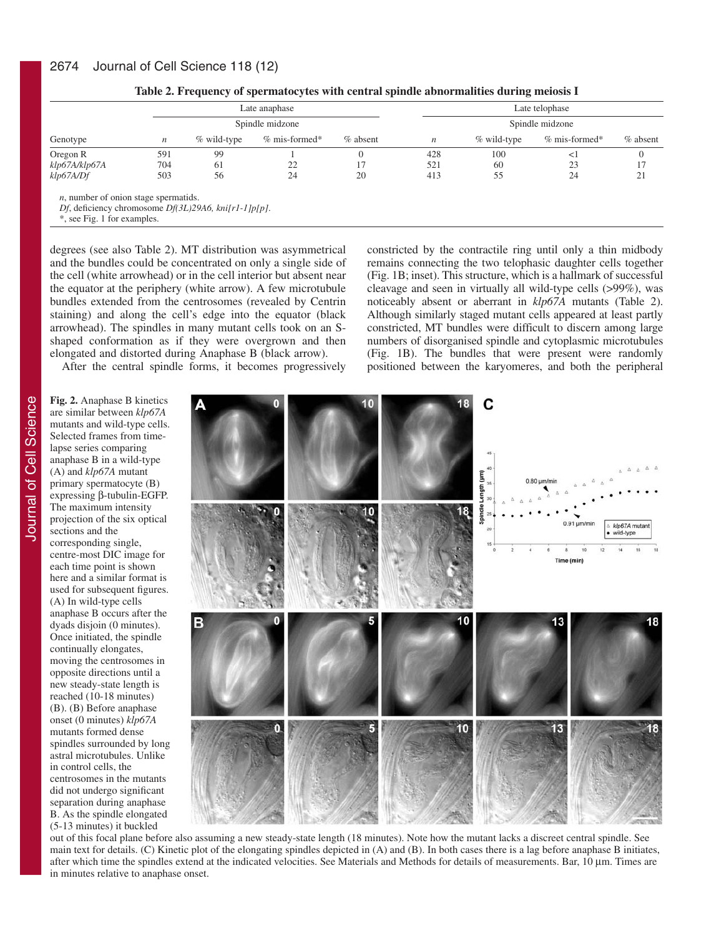| Genotype                                                                                               |                 | Late anaphase |                 |          |                  | Late telophase |                 |          |  |
|--------------------------------------------------------------------------------------------------------|-----------------|---------------|-----------------|----------|------------------|----------------|-----------------|----------|--|
|                                                                                                        | Spindle midzone |               |                 |          | Spindle midzone  |                |                 |          |  |
|                                                                                                        | n               | % wild-type   | $%$ mis-formed* | % absent | $\boldsymbol{n}$ | % wild-type    | $%$ mis-formed* | % absent |  |
| Oregon R                                                                                               | 591             | 99            |                 |          | 428              | 100            | $\leq$          | 0        |  |
| klp67A/klp67A                                                                                          | 704             | 61            |                 |          | 521              | 60             | 23              | 17       |  |
| klp67A/Df                                                                                              | 503             | 56            | 24              | 20       | 413              | 55             | 24              | 21       |  |
| $n$ , number of onion stage spermatids.<br>Df, deficiency chromosome $Df(3L)29A6$ , kni $[rl-1]p[p]$ . |                 |               |                 |          |                  |                |                 |          |  |

| Table 2. Frequency of spermatocytes with central spindle abnormalities during meiosis I |  |  |
|-----------------------------------------------------------------------------------------|--|--|
|                                                                                         |  |  |

\*, see Fig. 1 for examples.

degrees (see also Table 2). MT distribution was asymmetrical and the bundles could be concentrated on only a single side of the cell (white arrowhead) or in the cell interior but absent near the equator at the periphery (white arrow). A few microtubule bundles extended from the centrosomes (revealed by Centrin staining) and along the cell's edge into the equator (black arrowhead). The spindles in many mutant cells took on an Sshaped conformation as if they were overgrown and then elongated and distorted during Anaphase B (black arrow).

constricted by the contractile ring until only a thin midbody remains connecting the two telophasic daughter cells together (Fig. 1B; inset). This structure, which is a hallmark of successful cleavage and seen in virtually all wild-type cells (>99%), was noticeably absent or aberrant in *klp67A* mutants (Table 2). Although similarly staged mutant cells appeared at least partly constricted, MT bundles were difficult to discern among large numbers of disorganised spindle and cytoplasmic microtubules (Fig. 1B). The bundles that were present were randomly positioned between the karyomeres, and both the peripheral

After the central spindle forms, it becomes progressively

**Fig. 2.** Anaphase B kinetics are similar between *klp67A* mutants and wild-type cells. Selected frames from timelapse series comparing anaphase B in a wild-type (A) and *klp67A* mutant primary spermatocyte (B) expressing β-tubulin-EGFP. The maximum intensity projection of the six optical sections and the corresponding single, centre-most DIC image for each time point is shown here and a similar format is used for subsequent figures. (A) In wild-type cells anaphase B occurs after the dyads disjoin (0 minutes). Once initiated, the spindle continually elongates, moving the centrosomes in opposite directions until a new steady-state length is reached (10-18 minutes) (B). (B) Before anaphase onset (0 minutes) *klp67A* mutants formed dense spindles surrounded by long astral microtubules. Unlike in control cells, the centrosomes in the mutants did not undergo significant separation during anaphase B. As the spindle elongated (5-13 minutes) it buckled



out of this focal plane before also assuming a new steady-state length (18 minutes). Note how the mutant lacks a discreet central spindle. See main text for details. (C) Kinetic plot of the elongating spindles depicted in (A) and (B). In both cases there is a lag before anaphase B initiates, after which time the spindles extend at the indicated velocities. See Materials and Methods for details of measurements. Bar, 10 µm. Times are in minutes relative to anaphase onset.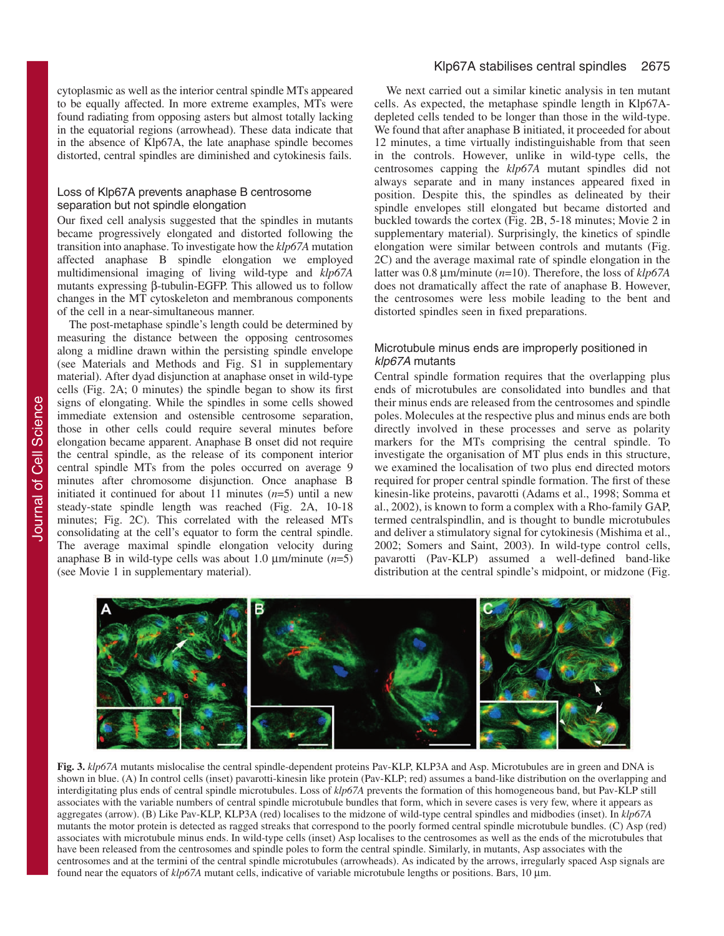cytoplasmic as well as the interior central spindle MTs appeared to be equally affected. In more extreme examples, MTs were found radiating from opposing asters but almost totally lacking in the equatorial regions (arrowhead). These data indicate that in the absence of Klp67A, the late anaphase spindle becomes distorted, central spindles are diminished and cytokinesis fails.

## Loss of Klp67A prevents anaphase B centrosome separation but not spindle elongation

Our fixed cell analysis suggested that the spindles in mutants became progressively elongated and distorted following the transition into anaphase. To investigate how the *klp67A* mutation affected anaphase B spindle elongation we employed multidimensional imaging of living wild-type and *klp67A* mutants expressing β-tubulin-EGFP. This allowed us to follow changes in the MT cytoskeleton and membranous components of the cell in a near-simultaneous manner.

The post-metaphase spindle's length could be determined by measuring the distance between the opposing centrosomes along a midline drawn within the persisting spindle envelope (see Materials and Methods and Fig. S1 in supplementary material). After dyad disjunction at anaphase onset in wild-type cells (Fig. 2A; 0 minutes) the spindle began to show its first signs of elongating. While the spindles in some cells showed immediate extension and ostensible centrosome separation, those in other cells could require several minutes before elongation became apparent. Anaphase B onset did not require the central spindle, as the release of its component interior central spindle MTs from the poles occurred on average 9 minutes after chromosome disjunction. Once anaphase B initiated it continued for about 11 minutes  $(n=5)$  until a new steady-state spindle length was reached (Fig. 2A, 10-18 minutes; Fig. 2C). This correlated with the released MTs consolidating at the cell's equator to form the central spindle. The average maximal spindle elongation velocity during anaphase B in wild-type cells was about 1.0 µm/minute (*n*=5) (see Movie 1 in supplementary material).

We next carried out a similar kinetic analysis in ten mutant cells. As expected, the metaphase spindle length in Klp67Adepleted cells tended to be longer than those in the wild-type. We found that after anaphase B initiated, it proceeded for about 12 minutes, a time virtually indistinguishable from that seen in the controls. However, unlike in wild-type cells, the centrosomes capping the *klp67A* mutant spindles did not always separate and in many instances appeared fixed in position. Despite this, the spindles as delineated by their spindle envelopes still elongated but became distorted and buckled towards the cortex (Fig. 2B, 5-18 minutes; Movie 2 in supplementary material). Surprisingly, the kinetics of spindle elongation were similar between controls and mutants (Fig. 2C) and the average maximal rate of spindle elongation in the latter was 0.8 µm/minute (*n*=10). Therefore, the loss of *klp67A* does not dramatically affect the rate of anaphase B. However, the centrosomes were less mobile leading to the bent and distorted spindles seen in fixed preparations.

# Microtubule minus ends are improperly positioned in klp67A mutants

Central spindle formation requires that the overlapping plus ends of microtubules are consolidated into bundles and that their minus ends are released from the centrosomes and spindle poles. Molecules at the respective plus and minus ends are both directly involved in these processes and serve as polarity markers for the MTs comprising the central spindle. To investigate the organisation of MT plus ends in this structure, we examined the localisation of two plus end directed motors required for proper central spindle formation. The first of these kinesin-like proteins, pavarotti (Adams et al., 1998; Somma et al., 2002), is known to form a complex with a Rho-family GAP, termed centralspindlin, and is thought to bundle microtubules and deliver a stimulatory signal for cytokinesis (Mishima et al., 2002; Somers and Saint, 2003). In wild-type control cells, pavarotti (Pav-KLP) assumed a well-defined band-like distribution at the central spindle's midpoint, or midzone (Fig.



**Fig. 3.** *klp67A* mutants mislocalise the central spindle-dependent proteins Pav-KLP, KLP3A and Asp. Microtubules are in green and DNA is shown in blue. (A) In control cells (inset) pavarotti-kinesin like protein (Pav-KLP; red) assumes a band-like distribution on the overlapping and interdigitating plus ends of central spindle microtubules. Loss of *klp67A* prevents the formation of this homogeneous band, but Pav-KLP still associates with the variable numbers of central spindle microtubule bundles that form, which in severe cases is very few, where it appears as aggregates (arrow). (B) Like Pav-KLP, KLP3A (red) localises to the midzone of wild-type central spindles and midbodies (inset). In *klp67A* mutants the motor protein is detected as ragged streaks that correspond to the poorly formed central spindle microtubule bundles. (C) Asp (red) associates with microtubule minus ends. In wild-type cells (inset) Asp localises to the centrosomes as well as the ends of the microtubules that have been released from the centrosomes and spindle poles to form the central spindle. Similarly, in mutants, Asp associates with the centrosomes and at the termini of the central spindle microtubules (arrowheads). As indicated by the arrows, irregularly spaced Asp signals are found near the equators of *klp67A* mutant cells, indicative of variable microtubule lengths or positions. Bars, 10 µm.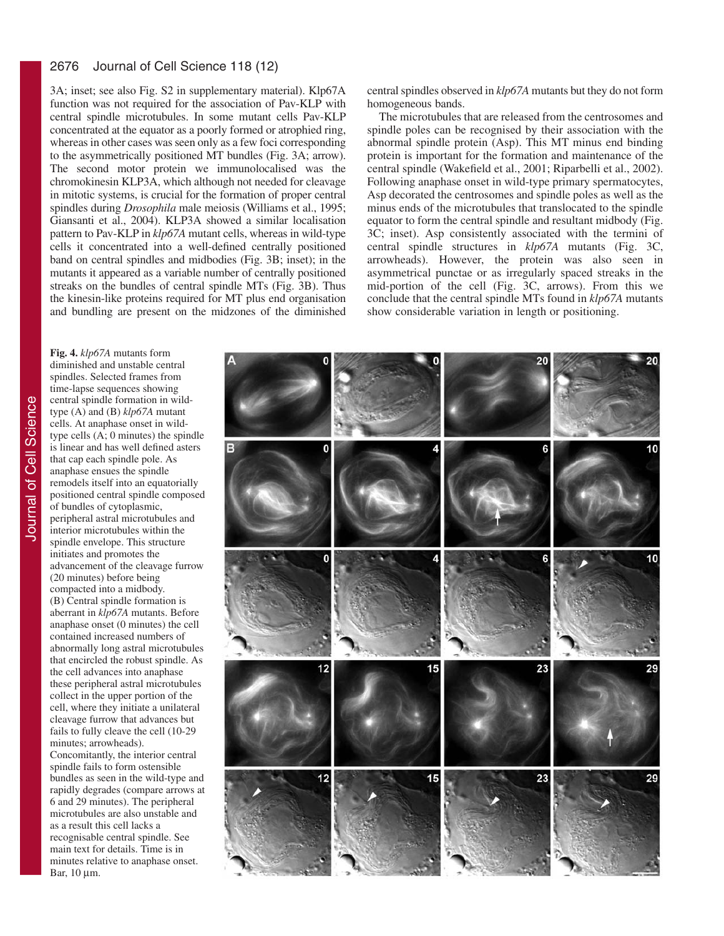#### 2676 Journal of Cell Science 118 (12)

3A; inset; see also Fig. S2 in supplementary material). Klp67A function was not required for the association of Pav-KLP with central spindle microtubules. In some mutant cells Pav-KLP concentrated at the equator as a poorly formed or atrophied ring, whereas in other cases was seen only as a few foci corresponding to the asymmetrically positioned MT bundles (Fig. 3A; arrow). The second motor protein we immunolocalised was the chromokinesin KLP3A, which although not needed for cleavage in mitotic systems, is crucial for the formation of proper central spindles during *Drosophila* male meiosis (Williams et al., 1995; Giansanti et al., 2004). KLP3A showed a similar localisation pattern to Pav-KLP in *klp67A* mutant cells, whereas in wild-type cells it concentrated into a well-defined centrally positioned band on central spindles and midbodies (Fig. 3B; inset); in the mutants it appeared as a variable number of centrally positioned streaks on the bundles of central spindle MTs (Fig. 3B). Thus the kinesin-like proteins required for MT plus end organisation and bundling are present on the midzones of the diminished central spindles observed in *klp67A* mutants but they do not form homogeneous bands.

The microtubules that are released from the centrosomes and spindle poles can be recognised by their association with the abnormal spindle protein (Asp). This MT minus end binding protein is important for the formation and maintenance of the central spindle (Wakefield et al., 2001; Riparbelli et al., 2002). Following anaphase onset in wild-type primary spermatocytes, Asp decorated the centrosomes and spindle poles as well as the minus ends of the microtubules that translocated to the spindle equator to form the central spindle and resultant midbody (Fig. 3C; inset). Asp consistently associated with the termini of central spindle structures in *klp67A* mutants (Fig. 3C, arrowheads). However, the protein was also seen in asymmetrical punctae or as irregularly spaced streaks in the mid-portion of the cell (Fig. 3C, arrows). From this we conclude that the central spindle MTs found in *klp67A* mutants show considerable variation in length or positioning.

diminished and unstable central spindles. Selected frames from time-lapse sequences showing central spindle formation in wildtype (A) and (B) *klp67A* mutant cells. At anaphase onset in wildtype cells (A; 0 minutes) the spindle is linear and has well defined asters that cap each spindle pole. As anaphase ensues the spindle remodels itself into an equatorially positioned central spindle composed of bundles of cytoplasmic, peripheral astral microtubules and interior microtubules within the spindle envelope. This structure initiates and promotes the advancement of the cleavage furrow (20 minutes) before being compacted into a midbody. (B) Central spindle formation is aberrant in *klp67A* mutants. Before anaphase onset (0 minutes) the cell contained increased numbers of abnormally long astral microtubules that encircled the robust spindle. As the cell advances into anaphase these peripheral astral microtubules collect in the upper portion of the cell, where they initiate a unilateral cleavage furrow that advances but fails to fully cleave the cell (10-29 minutes; arrowheads). Concomitantly, the interior central spindle fails to form ostensible bundles as seen in the wild-type and rapidly degrades (compare arrows at 6 and 29 minutes). The peripheral

**Fig. 4.** *klp67A* mutants form

microtubules are also unstable and as a result this cell lacks a recognisable central spindle. See main text for details. Time is in minutes relative to anaphase onset. Bar, 10 μm.

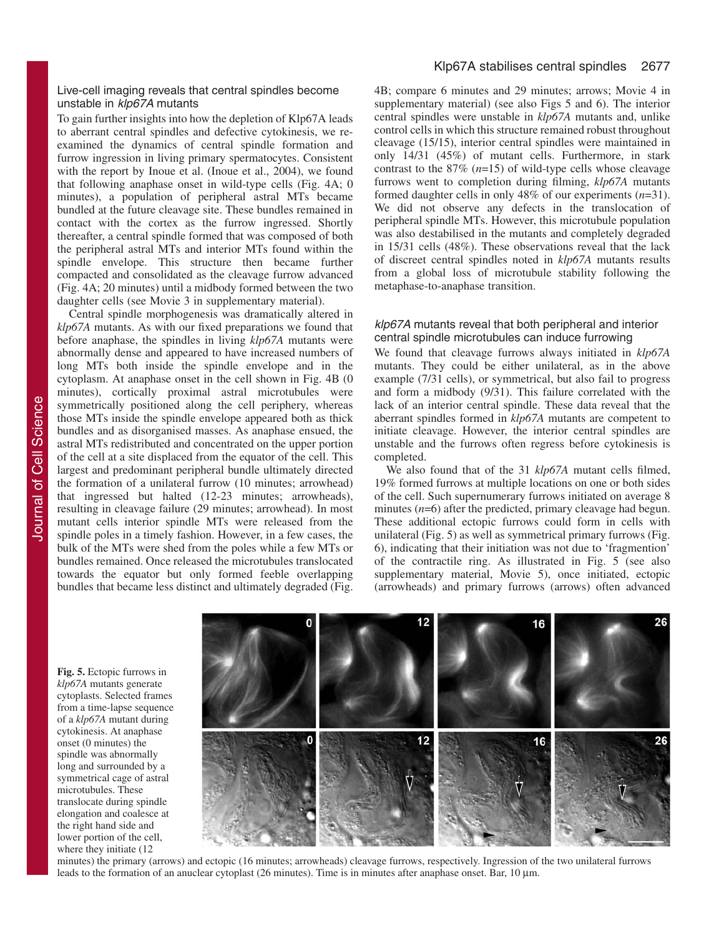### Live-cell imaging reveals that central spindles become unstable in klp67A mutants

To gain further insights into how the depletion of Klp67A leads to aberrant central spindles and defective cytokinesis, we reexamined the dynamics of central spindle formation and furrow ingression in living primary spermatocytes. Consistent with the report by Inoue et al. (Inoue et al., 2004), we found that following anaphase onset in wild-type cells (Fig. 4A; 0 minutes), a population of peripheral astral MTs became bundled at the future cleavage site. These bundles remained in contact with the cortex as the furrow ingressed. Shortly thereafter, a central spindle formed that was composed of both the peripheral astral MTs and interior MTs found within the spindle envelope. This structure then became further compacted and consolidated as the cleavage furrow advanced (Fig. 4A; 20 minutes) until a midbody formed between the two daughter cells (see Movie 3 in supplementary material).

Central spindle morphogenesis was dramatically altered in *klp67A* mutants. As with our fixed preparations we found that before anaphase, the spindles in living *klp67A* mutants were abnormally dense and appeared to have increased numbers of long MTs both inside the spindle envelope and in the cytoplasm. At anaphase onset in the cell shown in Fig. 4B (0 minutes), cortically proximal astral microtubules were symmetrically positioned along the cell periphery, whereas those MTs inside the spindle envelope appeared both as thick bundles and as disorganised masses. As anaphase ensued, the astral MTs redistributed and concentrated on the upper portion of the cell at a site displaced from the equator of the cell. This largest and predominant peripheral bundle ultimately directed the formation of a unilateral furrow (10 minutes; arrowhead) that ingressed but halted (12-23 minutes; arrowheads), resulting in cleavage failure (29 minutes; arrowhead). In most mutant cells interior spindle MTs were released from the spindle poles in a timely fashion. However, in a few cases, the bulk of the MTs were shed from the poles while a few MTs or bundles remained. Once released the microtubules translocated towards the equator but only formed feeble overlapping bundles that became less distinct and ultimately degraded (Fig.

4B; compare 6 minutes and 29 minutes; arrows; Movie 4 in supplementary material) (see also Figs 5 and 6). The interior central spindles were unstable in *klp67A* mutants and, unlike control cells in which this structure remained robust throughout cleavage (15/15), interior central spindles were maintained in only 14/31 (45%) of mutant cells. Furthermore, in stark contrast to the 87% (*n*=15) of wild-type cells whose cleavage furrows went to completion during filming, *klp67A* mutants formed daughter cells in only 48% of our experiments (*n*=31). We did not observe any defects in the translocation of peripheral spindle MTs. However, this microtubule population was also destabilised in the mutants and completely degraded in 15/31 cells (48%). These observations reveal that the lack of discreet central spindles noted in *klp67A* mutants results from a global loss of microtubule stability following the metaphase-to-anaphase transition.

### klp67A mutants reveal that both peripheral and interior central spindle microtubules can induce furrowing

We found that cleavage furrows always initiated in *klp67A* mutants. They could be either unilateral, as in the above example (7/31 cells), or symmetrical, but also fail to progress and form a midbody (9/31). This failure correlated with the lack of an interior central spindle. These data reveal that the aberrant spindles formed in *klp67A* mutants are competent to initiate cleavage. However, the interior central spindles are unstable and the furrows often regress before cytokinesis is completed.

We also found that of the 31 *klp67A* mutant cells filmed, 19% formed furrows at multiple locations on one or both sides of the cell. Such supernumerary furrows initiated on average 8 minutes (*n*=6) after the predicted, primary cleavage had begun. These additional ectopic furrows could form in cells with unilateral (Fig. 5) as well as symmetrical primary furrows (Fig. 6), indicating that their initiation was not due to 'fragmention' of the contractile ring. As illustrated in Fig. 5 (see also supplementary material, Movie 5), once initiated, ectopic (arrowheads) and primary furrows (arrows) often advanced

**Fig. 5.** Ectopic furrows in *klp67A* mutants generate cytoplasts. Selected frames from a time-lapse sequence of a *klp67A* mutant during cytokinesis. At anaphase onset (0 minutes) the spindle was abnormally long and surrounded by a symmetrical cage of astral microtubules. These translocate during spindle elongation and coalesce at the right hand side and lower portion of the cell, where they initiate  $(12)$ 



minutes) the primary (arrows) and ectopic (16 minutes; arrowheads) cleavage furrows, respectively. Ingression of the two unilateral furrows leads to the formation of an anuclear cytoplast (26 minutes). Time is in minutes after anaphase onset. Bar, 10  $\mu$ m.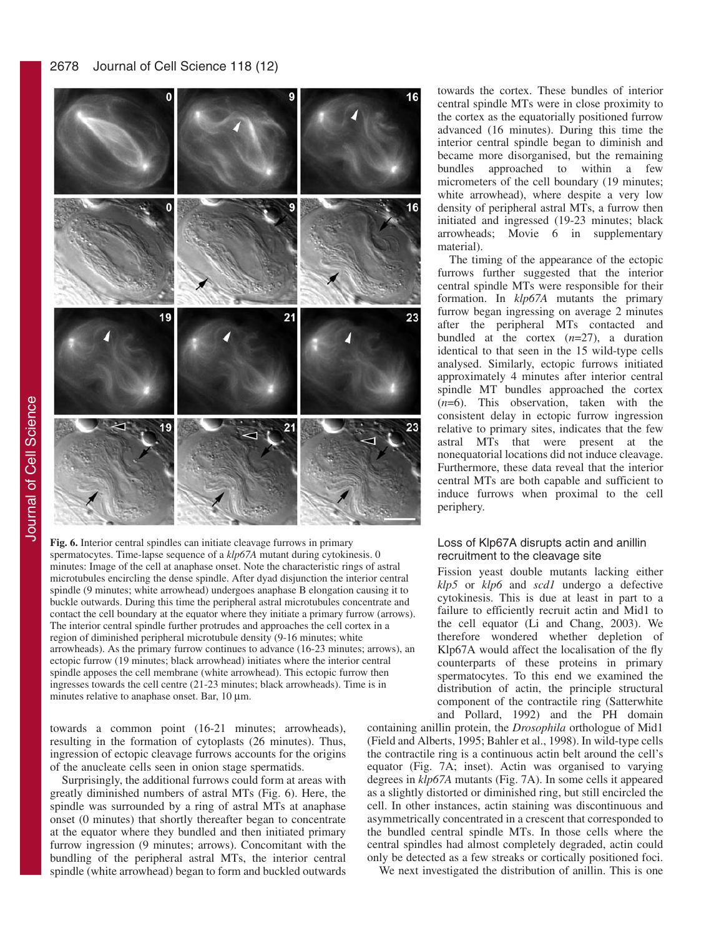

**Fig. 6.** Interior central spindles can initiate cleavage furrows in primary spermatocytes. Time-lapse sequence of a *klp67A* mutant during cytokinesis. 0 minutes: Image of the cell at anaphase onset. Note the characteristic rings of astral microtubules encircling the dense spindle. After dyad disjunction the interior central spindle (9 minutes; white arrowhead) undergoes anaphase B elongation causing it to buckle outwards. During this time the peripheral astral microtubules concentrate and contact the cell boundary at the equator where they initiate a primary furrow (arrows). The interior central spindle further protrudes and approaches the cell cortex in a region of diminished peripheral microtubule density (9-16 minutes; white arrowheads). As the primary furrow continues to advance (16-23 minutes; arrows), an ectopic furrow (19 minutes; black arrowhead) initiates where the interior central spindle apposes the cell membrane (white arrowhead). This ectopic furrow then ingresses towards the cell centre (21-23 minutes; black arrowheads). Time is in minutes relative to anaphase onset. Bar, 10 µm.

towards a common point (16-21 minutes; arrowheads), resulting in the formation of cytoplasts (26 minutes). Thus, ingression of ectopic cleavage furrows accounts for the origins of the anucleate cells seen in onion stage spermatids.

Surprisingly, the additional furrows could form at areas with greatly diminished numbers of astral MTs (Fig. 6). Here, the spindle was surrounded by a ring of astral MTs at anaphase onset (0 minutes) that shortly thereafter began to concentrate at the equator where they bundled and then initiated primary furrow ingression (9 minutes; arrows). Concomitant with the bundling of the peripheral astral MTs, the interior central spindle (white arrowhead) began to form and buckled outwards towards the cortex. These bundles of interior central spindle MTs were in close proximity to the cortex as the equatorially positioned furrow advanced (16 minutes). During this time the interior central spindle began to diminish and became more disorganised, but the remaining bundles approached to within a few micrometers of the cell boundary (19 minutes; white arrowhead), where despite a very low density of peripheral astral MTs, a furrow then initiated and ingressed (19-23 minutes; black arrowheads; Movie 6 in supplementary material).

The timing of the appearance of the ectopic furrows further suggested that the interior central spindle MTs were responsible for their formation. In *klp67A* mutants the primary furrow began ingressing on average 2 minutes after the peripheral MTs contacted and bundled at the cortex (*n*=27), a duration identical to that seen in the 15 wild-type cells analysed. Similarly, ectopic furrows initiated approximately 4 minutes after interior central spindle MT bundles approached the cortex (*n*=6). This observation, taken with the consistent delay in ectopic furrow ingression relative to primary sites, indicates that the few astral MTs that were present at the nonequatorial locations did not induce cleavage. Furthermore, these data reveal that the interior central MTs are both capable and sufficient to induce furrows when proximal to the cell periphery.

### Loss of Klp67A disrupts actin and anillin recruitment to the cleavage site

Fission yeast double mutants lacking either *klp5* or *klp6* and *scd1* undergo a defective cytokinesis. This is due at least in part to a failure to efficiently recruit actin and Mid1 to the cell equator (Li and Chang, 2003). We therefore wondered whether depletion of Klp67A would affect the localisation of the fly counterparts of these proteins in primary spermatocytes. To this end we examined the distribution of actin, the principle structural component of the contractile ring (Satterwhite and Pollard, 1992) and the PH domain

containing anillin protein, the *Drosophila* orthologue of Mid1 (Field and Alberts, 1995; Bahler et al., 1998). In wild-type cells the contractile ring is a continuous actin belt around the cell's equator (Fig. 7A; inset). Actin was organised to varying degrees in *klp67A* mutants (Fig. 7A). In some cells it appeared as a slightly distorted or diminished ring, but still encircled the cell. In other instances, actin staining was discontinuous and asymmetrically concentrated in a crescent that corresponded to the bundled central spindle MTs. In those cells where the central spindles had almost completely degraded, actin could only be detected as a few streaks or cortically positioned foci.

We next investigated the distribution of anillin. This is one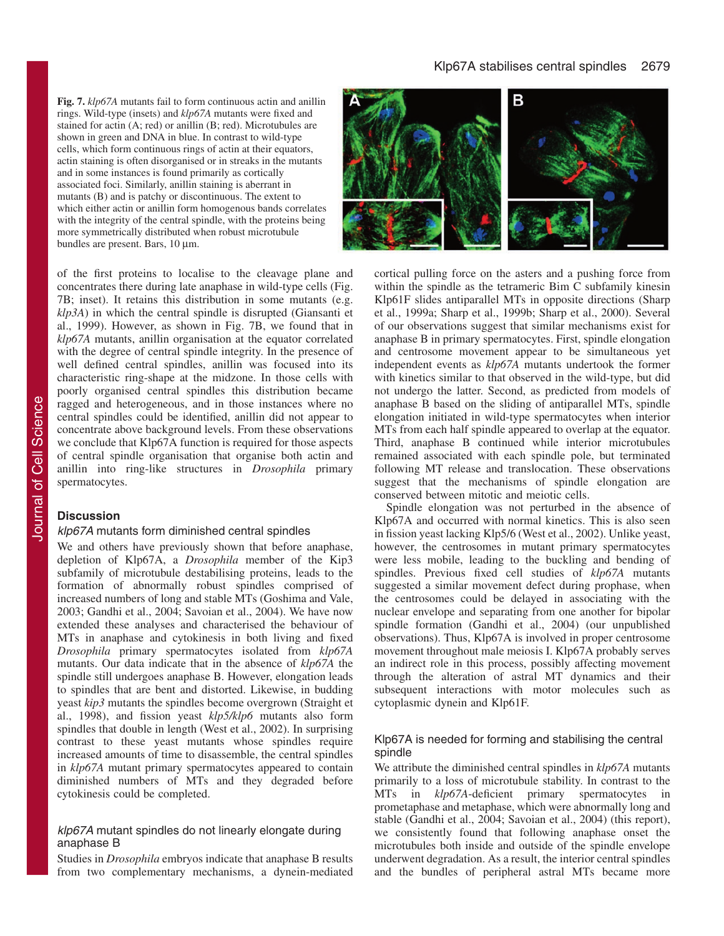**Fig. 7.** *klp67A* mutants fail to form continuous actin and anillin rings. Wild-type (insets) and *klp67A* mutants were fixed and stained for actin (A; red) or anillin (B; red). Microtubules are shown in green and DNA in blue. In contrast to wild-type cells, which form continuous rings of actin at their equators, actin staining is often disorganised or in streaks in the mutants and in some instances is found primarily as cortically associated foci. Similarly, anillin staining is aberrant in mutants (B) and is patchy or discontinuous. The extent to which either actin or anillin form homogenous bands correlates with the integrity of the central spindle, with the proteins being more symmetrically distributed when robust microtubule bundles are present. Bars, 10 µm.

of the first proteins to localise to the cleavage plane and concentrates there during late anaphase in wild-type cells (Fig. 7B; inset). It retains this distribution in some mutants (e.g. *klp3A*) in which the central spindle is disrupted (Giansanti et al., 1999). However, as shown in Fig. 7B, we found that in *klp67A* mutants, anillin organisation at the equator correlated with the degree of central spindle integrity. In the presence of well defined central spindles, anillin was focused into its characteristic ring-shape at the midzone. In those cells with poorly organised central spindles this distribution became ragged and heterogeneous, and in those instances where no central spindles could be identified, anillin did not appear to concentrate above background levels. From these observations we conclude that Klp67A function is required for those aspects of central spindle organisation that organise both actin and anillin into ring-like structures in *Drosophila* primary spermatocytes.

### **Discussion**

### klp67A mutants form diminished central spindles

We and others have previously shown that before anaphase, depletion of Klp67A, a *Drosophila* member of the Kip3 subfamily of microtubule destabilising proteins, leads to the formation of abnormally robust spindles comprised of increased numbers of long and stable MTs (Goshima and Vale, 2003; Gandhi et al., 2004; Savoian et al., 2004). We have now extended these analyses and characterised the behaviour of MTs in anaphase and cytokinesis in both living and fixed *Drosophila* primary spermatocytes isolated from *klp67A* mutants. Our data indicate that in the absence of *klp67A* the spindle still undergoes anaphase B. However, elongation leads to spindles that are bent and distorted. Likewise, in budding yeast *kip3* mutants the spindles become overgrown (Straight et al., 1998), and fission yeast *klp5/klp6* mutants also form spindles that double in length (West et al., 2002). In surprising contrast to these yeast mutants whose spindles require increased amounts of time to disassemble, the central spindles in *klp67A* mutant primary spermatocytes appeared to contain diminished numbers of MTs and they degraded before cytokinesis could be completed.

# klp67A mutant spindles do not linearly elongate during anaphase B

Studies in *Drosophila* embryos indicate that anaphase B results from two complementary mechanisms, a dynein-mediated



cortical pulling force on the asters and a pushing force from within the spindle as the tetrameric Bim C subfamily kinesin Klp61F slides antiparallel MTs in opposite directions (Sharp et al., 1999a; Sharp et al., 1999b; Sharp et al., 2000). Several of our observations suggest that similar mechanisms exist for anaphase B in primary spermatocytes. First, spindle elongation and centrosome movement appear to be simultaneous yet independent events as *klp67A* mutants undertook the former with kinetics similar to that observed in the wild-type, but did not undergo the latter. Second, as predicted from models of anaphase B based on the sliding of antiparallel MTs, spindle elongation initiated in wild-type spermatocytes when interior MTs from each half spindle appeared to overlap at the equator. Third, anaphase B continued while interior microtubules remained associated with each spindle pole, but terminated following MT release and translocation. These observations suggest that the mechanisms of spindle elongation are conserved between mitotic and meiotic cells.

Spindle elongation was not perturbed in the absence of Klp67A and occurred with normal kinetics. This is also seen in fission yeast lacking Klp5/6 (West et al., 2002). Unlike yeast, however, the centrosomes in mutant primary spermatocytes were less mobile, leading to the buckling and bending of spindles. Previous fixed cell studies of *klp67A* mutants suggested a similar movement defect during prophase, when the centrosomes could be delayed in associating with the nuclear envelope and separating from one another for bipolar spindle formation (Gandhi et al., 2004) (our unpublished observations). Thus, Klp67A is involved in proper centrosome movement throughout male meiosis I. Klp67A probably serves an indirect role in this process, possibly affecting movement through the alteration of astral MT dynamics and their subsequent interactions with motor molecules such as cytoplasmic dynein and Klp61F.

### Klp67A is needed for forming and stabilising the central spindle

We attribute the diminished central spindles in *klp67A* mutants primarily to a loss of microtubule stability. In contrast to the MTs in *klp67A*-deficient primary spermatocytes in prometaphase and metaphase, which were abnormally long and stable (Gandhi et al., 2004; Savoian et al., 2004) (this report), we consistently found that following anaphase onset the microtubules both inside and outside of the spindle envelope underwent degradation. As a result, the interior central spindles and the bundles of peripheral astral MTs became more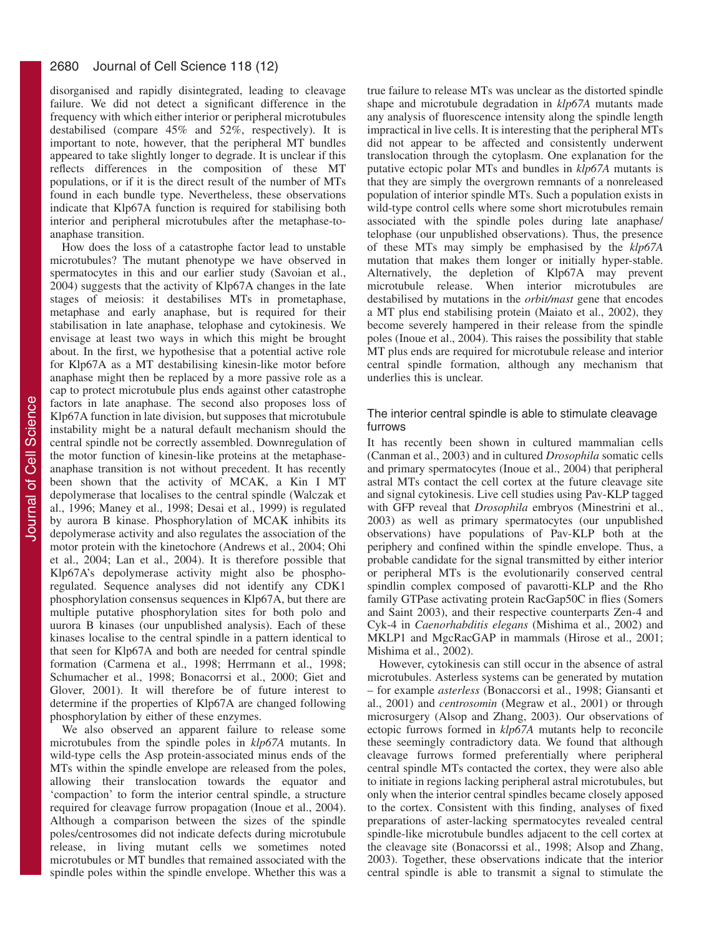disorganised and rapidly disintegrated, leading to cleavage failure. We did not detect a significant difference in the frequency with which either interior or peripheral microtubules destabilised (compare 45% and 52%, respectively). It is important to note, however, that the peripheral MT bundles appeared to take slightly longer to degrade. It is unclear if this reflects differences in the composition of these MT populations, or if it is the direct result of the number of MTs found in each bundle type. Nevertheless, these observations indicate that Klp67A function is required for stabilising both interior and peripheral microtubules after the metaphase-toanaphase transition.

How does the loss of a catastrophe factor lead to unstable microtubules? The mutant phenotype we have observed in spermatocytes in this and our earlier study (Savoian et al., 2004) suggests that the activity of Klp67A changes in the late stages of meiosis: it destabilises MTs in prometaphase, metaphase and early anaphase, but is required for their stabilisation in late anaphase, telophase and cytokinesis. We envisage at least two ways in which this might be brought about. In the first, we hypothesise that a potential active role for Klp67A as a MT destabilising kinesin-like motor before anaphase might then be replaced by a more passive role as a cap to protect microtubule plus ends against other catastrophe factors in late anaphase. The second also proposes loss of Klp67A function in late division, but supposes that microtubule instability might be a natural default mechanism should the central spindle not be correctly assembled. Downregulation of the motor function of kinesin-like proteins at the metaphaseanaphase transition is not without precedent. It has recently been shown that the activity of MCAK, a Kin I MT depolymerase that localises to the central spindle (Walczak et al., 1996; Maney et al., 1998; Desai et al., 1999) is regulated by aurora B kinase. Phosphorylation of MCAK inhibits its depolymerase activity and also regulates the association of the motor protein with the kinetochore (Andrews et al., 2004; Ohi et al., 2004; Lan et al., 2004). It is therefore possible that Klp67A's depolymerase activity might also be phosphoregulated. Sequence analyses did not identify any CDK1 phosphorylation consensus sequences in Klp67A, but there are multiple putative phosphorylation sites for both polo and uurora B kinases (our unpublished analysis). Each of these kinases localise to the central spindle in a pattern identical to that seen for Klp67A and both are needed for central spindle formation (Carmena et al., 1998; Herrmann et al., 1998; Schumacher et al., 1998; Bonacorrsi et al., 2000; Giet and Glover, 2001). It will therefore be of future interest to determine if the properties of Klp67A are changed following phosphorylation by either of these enzymes.

We also observed an apparent failure to release some microtubules from the spindle poles in *klp67A* mutants. In wild-type cells the Asp protein-associated minus ends of the MTs within the spindle envelope are released from the poles, allowing their translocation towards the equator and 'compaction' to form the interior central spindle, a structure required for cleavage furrow propagation (Inoue et al., 2004). Although a comparison between the sizes of the spindle poles/centrosomes did not indicate defects during microtubule release, in living mutant cells we sometimes noted microtubules or MT bundles that remained associated with the spindle poles within the spindle envelope. Whether this was a

true failure to release MTs was unclear as the distorted spindle shape and microtubule degradation in *klp67A* mutants made any analysis of fluorescence intensity along the spindle length impractical in live cells. It is interesting that the peripheral MTs did not appear to be affected and consistently underwent translocation through the cytoplasm. One explanation for the putative ectopic polar MTs and bundles in *klp67A* mutants is that they are simply the overgrown remnants of a nonreleased population of interior spindle MTs. Such a population exists in wild-type control cells where some short microtubules remain associated with the spindle poles during late anaphase/ telophase (our unpublished observations). Thus, the presence of these MTs may simply be emphasised by the *klp67A* mutation that makes them longer or initially hyper-stable. Alternatively, the depletion of Klp67A may prevent microtubule release. When interior microtubules are destabilised by mutations in the *orbit/mast* gene that encodes a MT plus end stabilising protein (Maiato et al., 2002), they become severely hampered in their release from the spindle poles (Inoue et al., 2004). This raises the possibility that stable MT plus ends are required for microtubule release and interior central spindle formation, although any mechanism that underlies this is unclear.

### The interior central spindle is able to stimulate cleavage furrows

It has recently been shown in cultured mammalian cells (Canman et al., 2003) and in cultured *Drosophila* somatic cells and primary spermatocytes (Inoue et al., 2004) that peripheral astral MTs contact the cell cortex at the future cleavage site and signal cytokinesis. Live cell studies using Pav-KLP tagged with GFP reveal that *Drosophila* embryos (Minestrini et al., 2003) as well as primary spermatocytes (our unpublished observations) have populations of Pav-KLP both at the periphery and confined within the spindle envelope. Thus, a probable candidate for the signal transmitted by either interior or peripheral MTs is the evolutionarily conserved central spindlin complex composed of pavarotti-KLP and the Rho family GTPase activating protein RacGap50C in flies (Somers and Saint 2003), and their respective counterparts Zen-4 and Cyk-4 in *Caenorhabditis elegans* (Mishima et al., 2002) and MKLP1 and MgcRacGAP in mammals (Hirose et al., 2001; Mishima et al., 2002).

However, cytokinesis can still occur in the absence of astral microtubules. Asterless systems can be generated by mutation – for example *asterless* (Bonaccorsi et al., 1998; Giansanti et al., 2001) and *centrosomin* (Megraw et al., 2001) or through microsurgery (Alsop and Zhang, 2003). Our observations of ectopic furrows formed in *klp67A* mutants help to reconcile these seemingly contradictory data. We found that although cleavage furrows formed preferentially where peripheral central spindle MTs contacted the cortex, they were also able to initiate in regions lacking peripheral astral microtubules, but only when the interior central spindles became closely apposed to the cortex. Consistent with this finding, analyses of fixed preparations of aster-lacking spermatocytes revealed central spindle-like microtubule bundles adjacent to the cell cortex at the cleavage site (Bonacorssi et al., 1998; Alsop and Zhang, 2003). Together, these observations indicate that the interior central spindle is able to transmit a signal to stimulate the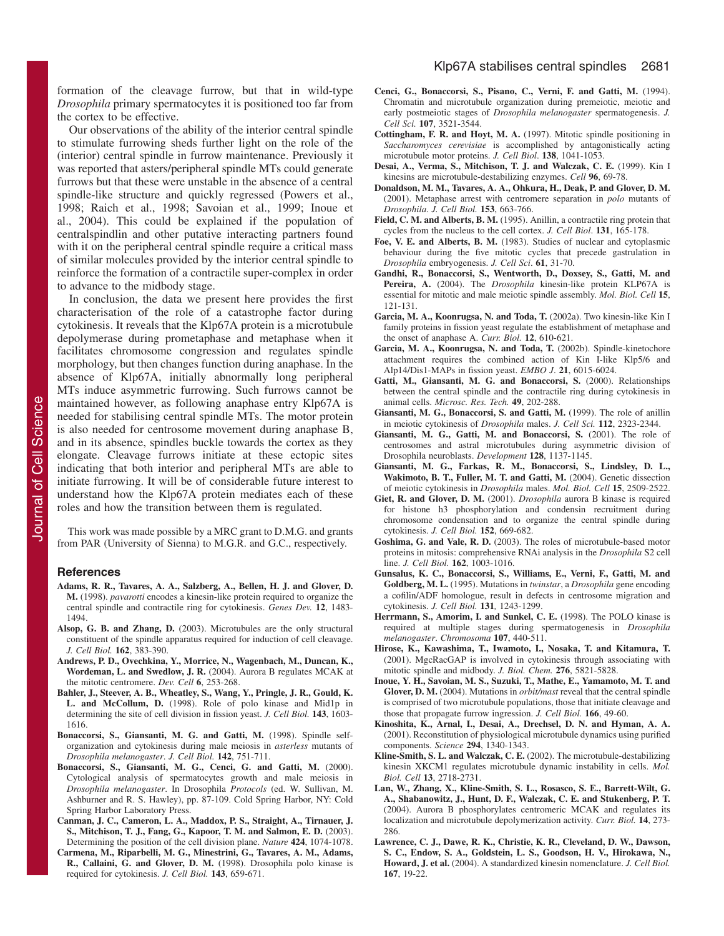formation of the cleavage furrow, but that in wild-type *Drosophila* primary spermatocytes it is positioned too far from the cortex to be effective.

Our observations of the ability of the interior central spindle to stimulate furrowing sheds further light on the role of the (interior) central spindle in furrow maintenance. Previously it was reported that asters/peripheral spindle MTs could generate furrows but that these were unstable in the absence of a central spindle-like structure and quickly regressed (Powers et al., 1998; Raich et al., 1998; Savoian et al., 1999; Inoue et al., 2004). This could be explained if the population of centralspindlin and other putative interacting partners found with it on the peripheral central spindle require a critical mass of similar molecules provided by the interior central spindle to reinforce the formation of a contractile super-complex in order to advance to the midbody stage.

In conclusion, the data we present here provides the first characterisation of the role of a catastrophe factor during cytokinesis. It reveals that the Klp67A protein is a microtubule depolymerase during prometaphase and metaphase when it facilitates chromosome congression and regulates spindle morphology, but then changes function during anaphase. In the absence of Klp67A, initially abnormally long peripheral MTs induce asymmetric furrowing. Such furrows cannot be maintained however, as following anaphase entry Klp67A is needed for stabilising central spindle MTs. The motor protein is also needed for centrosome movement during anaphase B, and in its absence, spindles buckle towards the cortex as they elongate. Cleavage furrows initiate at these ectopic sites indicating that both interior and peripheral MTs are able to initiate furrowing. It will be of considerable future interest to understand how the Klp67A protein mediates each of these roles and how the transition between them is regulated.

This work was made possible by a MRC grant to D.M.G. and grants from PAR (University of Sienna) to M.G.R. and G.C., respectively.

### **References**

- **Adams, R. R., Tavares, A. A., Salzberg, A., Bellen, H. J. and Glover, D. M.** (1998). *pavarotti* encodes a kinesin-like protein required to organize the central spindle and contractile ring for cytokinesis. *Genes Dev.* **12**, 1483- 1494.
- **Alsop, G. B. and Zhang, D.** (2003). Microtubules are the only structural constituent of the spindle apparatus required for induction of cell cleavage. *J. Cell Biol.* **162**, 383-390.
- **Andrews, P. D., Ovechkina, Y., Morrice, N., Wagenbach, M., Duncan, K.,** Wordeman, L. and Swedlow, J. R. (2004). Aurora B regulates MCAK at the mitotic centromere. *Dev. Cell* **6**, 253-268.
- **Bahler, J., Steever, A. B., Wheatley, S., Wang, Y., Pringle, J. R., Gould, K. L. and McCollum, D.** (1998). Role of polo kinase and Mid1p in determining the site of cell division in fission yeast. *J. Cell Biol.* **143**, 1603- 1616.
- Bonaccorsi, S., Giansanti, M. G. and Gatti, M. (1998). Spindle selforganization and cytokinesis during male meiosis in *asterless* mutants of *Drosophila melanogaster*. *J. Cell Biol.* **142**, 751-711.
- **Bonaccorsi, S., Giansanti, M. G., Cenci, G. and Gatti, M.** (2000). Cytological analysis of spermatocytes growth and male meiosis in *Drosophila melanogaster*. In Drosophila *Protocols* (ed. W. Sullivan, M. Ashburner and R. S. Hawley), pp. 87-109. Cold Spring Harbor, NY: Cold Spring Harbor Laboratory Press.
- **Canman, J. C., Cameron, L. A., Maddox, P. S., Straight, A., Tirnauer, J. S., Mitchison, T. J., Fang, G., Kapoor, T. M. and Salmon, E. D.** (2003). Determining the position of the cell division plane. *Nature* **424**, 1074-1078.
- **Carmena, M., Riparbelli, M. G., Minestrini, G., Tavares, A. M., Adams, R., Callaini, G. and Glover, D. M.** (1998). Drosophila polo kinase is required for cytokinesis. *J. Cell Biol.* **143**, 659-671.
- **Cenci, G., Bonaccorsi, S., Pisano, C., Verni, F. and Gatti, M.** (1994). Chromatin and microtubule organization during premeiotic, meiotic and early postmeiotic stages of *Drosophila melanogaster* spermatogenesis. *J. Cell Sci.* **107**, 3521-3544.
- **Cottingham, F. R. and Hoyt, M. A.** (1997). Mitotic spindle positioning in *Saccharomyces cerevisiae* is accomplished by antagonistically acting microtubule motor proteins. *J. Cell Biol*. **138**, 1041-1053.
- **Desai, A., Verma, S., Mitchison, T. J. and Walczak, C. E.** (1999). Kin I kinesins are microtubule-destabilizing enzymes. *Cell* **96**, 69-78.
- **Donaldson, M. M., Tavares, A. A., Ohkura, H., Deak, P. and Glover, D. M.** (2001). Metaphase arrest with centromere separation in *polo* mutants of *Drosophila*. *J. Cell Biol.* **153**, 663-766.
- Field, C. M. and Alberts, B. M. (1995). Anillin, a contractile ring protein that cycles from the nucleus to the cell cortex. *J. Cell Biol*. **131**, 165-178.
- **Foe, V. E. and Alberts, B. M.** (1983). Studies of nuclear and cytoplasmic behaviour during the five mitotic cycles that precede gastrulation in *Drosophila* embryogenesis. *J. Cell Sci*. **61**, 31-70.
- **Gandhi, R., Bonaccorsi, S., Wentworth, D., Doxsey, S., Gatti, M. and Pereira, A.** (2004). The *Drosophila* kinesin-like protein KLP67A is essential for mitotic and male meiotic spindle assembly. *Mol. Biol. Cell* **15**, 121-131.
- **Garcia, M. A., Koonrugsa, N. and Toda, T.** (2002a). Two kinesin-like Kin I family proteins in fission yeast regulate the establishment of metaphase and the onset of anaphase A. *Curr. Biol.* **12**, 610-621.
- **Garcia, M. A., Koonrugsa, N. and Toda, T.** (2002b). Spindle-kinetochore attachment requires the combined action of Kin I-like Klp5/6 and Alp14/Dis1-MAPs in fission yeast. *EMBO J*. **21**, 6015-6024.
- Gatti, M., Giansanti, M. G. and Bonaccorsi, S. (2000). Relationships between the central spindle and the contractile ring during cytokinesis in animal cells. *Microsc. Res. Tech.* **49**, 202-288.
- Giansanti, M. G., Bonaccorsi, S. and Gatti, M. (1999). The role of anillin in meiotic cytokinesis of *Drosophila* males. *J. Cell Sci.* **112**, 2323-2344.
- Giansanti, M. G., Gatti, M. and Bonaccorsi, S. (2001). The role of centrosomes and astral microtubules during asymmetric division of Drosophila neuroblasts. *Development* **128**, 1137-1145.
- **Giansanti, M. G., Farkas, R. M., Bonaccorsi, S., Lindsley, D. L.,** Wakimoto, B. T., Fuller, M. T. and Gatti, M. (2004). Genetic dissection of meiotic cytokinesis in *Drosophila* males. *Mol. Biol. Cell* **15**, 2509-2522.
- **Giet, R. and Glover, D. M.** (2001). *Drosophila* aurora B kinase is required for histone h3 phosphorylation and condensin recruitment during chromosome condensation and to organize the central spindle during cytokinesis. *J. Cell Biol.* **152**, 669-682.
- **Goshima, G. and Vale, R. D.** (2003). The roles of microtubule-based motor proteins in mitosis: comprehensive RNAi analysis in the *Drosophila* S2 cell line. *J. Cell Biol.* **162**, 1003-1016.
- **Gunsalus, K. C., Bonaccorsi, S., Williams, E., Verni, F., Gatti, M. and Goldberg, M. L.** (1995). Mutations in *twinstar*, a *Drosophila* gene encoding a cofilin/ADF homologue, result in defects in centrosome migration and cytokinesis. *J. Cell Biol.* **131***,* 1243-1299.
- Herrmann, S., Amorim, I. and Sunkel, C. E. (1998). The POLO kinase is required at multiple stages during spermatogenesis in *Drosophila melanogaster*. *Chromosoma* **107**, 440-511.
- **Hirose, K., Kawashima, T., Iwamoto, I., Nosaka, T. and Kitamura, T.** (2001). MgcRacGAP is involved in cytokinesis through associating with mitotic spindle and midbody. *J. Biol. Chem.* **276**, 5821-5828.
- **Inoue, Y. H., Savoian, M. S., Suzuki, T., Mathe, E., Yamamoto, M. T. and Glover, D. M.** (2004). Mutations in *orbit/mast* reveal that the central spindle is comprised of two microtubule populations, those that initiate cleavage and those that propagate furrow ingression. *J. Cell Biol.* **166**, 49-60.
- **Kinoshita, K., Arnal, I., Desai, A., Drechsel, D. N. and Hyman, A. A.** (2001). Reconstitution of physiological microtubule dynamics using purified components. *Science* **294**, 1340-1343.
- **Kline-Smith, S. L. and Walczak, C. E.** (2002). The microtubule-destabilizing kinesin XKCM1 regulates microtubule dynamic instability in cells. *Mol. Biol. Cell* **13**, 2718-2731.
- **Lan, W., Zhang, X., Kline-Smith, S. L., Rosasco, S. E., Barrett-Wilt, G. A., Shabanowitz, J., Hunt, D. F., Walczak, C. E. and Stukenberg, P. T.** (2004). Aurora B phosphorylates centromeric MCAK and regulates its localization and microtubule depolymerization activity. *Curr. Biol.* **14**, 273- 286.
- **Lawrence, C. J., Dawe, R. K., Christie, K. R., Cleveland, D. W., Dawson, S. C., Endow, S. A., Goldstein, L. S., Goodson, H. V., Hirokawa, N., Howard, J. et al.** (2004). A standardized kinesin nomenclature. *J. Cell Biol.* **167**, 19-22.